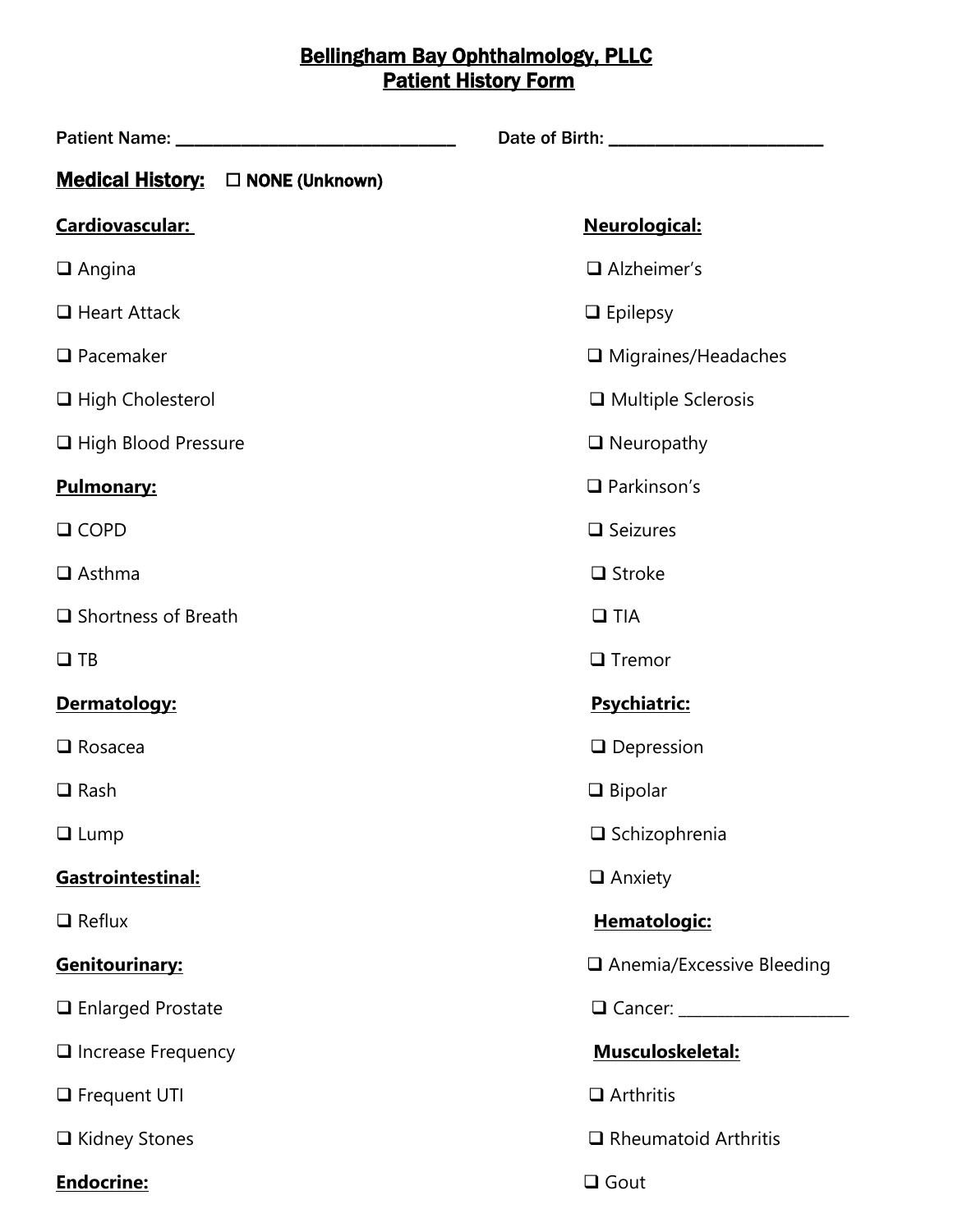## Bellingham Bay Ophthalmology, PLLC **Patient History Form**

| Medical History: $\square$ NONE (Unknown) |                             |  |
|-------------------------------------------|-----------------------------|--|
| <b>Cardiovascular:</b>                    | Neurological:               |  |
| $\Box$ Angina                             | $\Box$ Alzheimer's          |  |
| $\Box$ Heart Attack                       | $\Box$ Epilepsy             |  |
| $\Box$ Pacemaker                          | $\Box$ Migraines/Headaches  |  |
| $\Box$ High Cholesterol                   | $\Box$ Multiple Sclerosis   |  |
| □ High Blood Pressure                     | $\Box$ Neuropathy           |  |
| <b>Pulmonary:</b>                         | $\Box$ Parkinson's          |  |
| $\Box$ COPD                               | $\Box$ Seizures             |  |
| $\Box$ Asthma                             | $\Box$ Stroke               |  |
| $\Box$ Shortness of Breath                | $\Box$ TIA                  |  |
| $\Box$ TB                                 | $\Box$ Tremor               |  |
| Dermatology:                              | Psychiatric:                |  |
| $\Box$ Rosacea                            | $\Box$ Depression           |  |
| $\Box$ Rash                               | $\Box$ Bipolar              |  |
| $\Box$ Lump                               | $\square$ Schizophrenia     |  |
| Gastrointestinal:                         | $\Box$ Anxiety              |  |
| $\Box$ Reflux                             | Hematologic:                |  |
| Genitourinary:                            | □ Anemia/Excessive Bleeding |  |
| $\Box$ Enlarged Prostate                  |                             |  |
| $\Box$ Increase Frequency                 | Musculoskeletal:            |  |
| $\Box$ Frequent UTI                       | $\Box$ Arthritis            |  |
| $\Box$ Kidney Stones                      | $\Box$ Rheumatoid Arthritis |  |
| Endocrine:                                | $\Box$ Gout                 |  |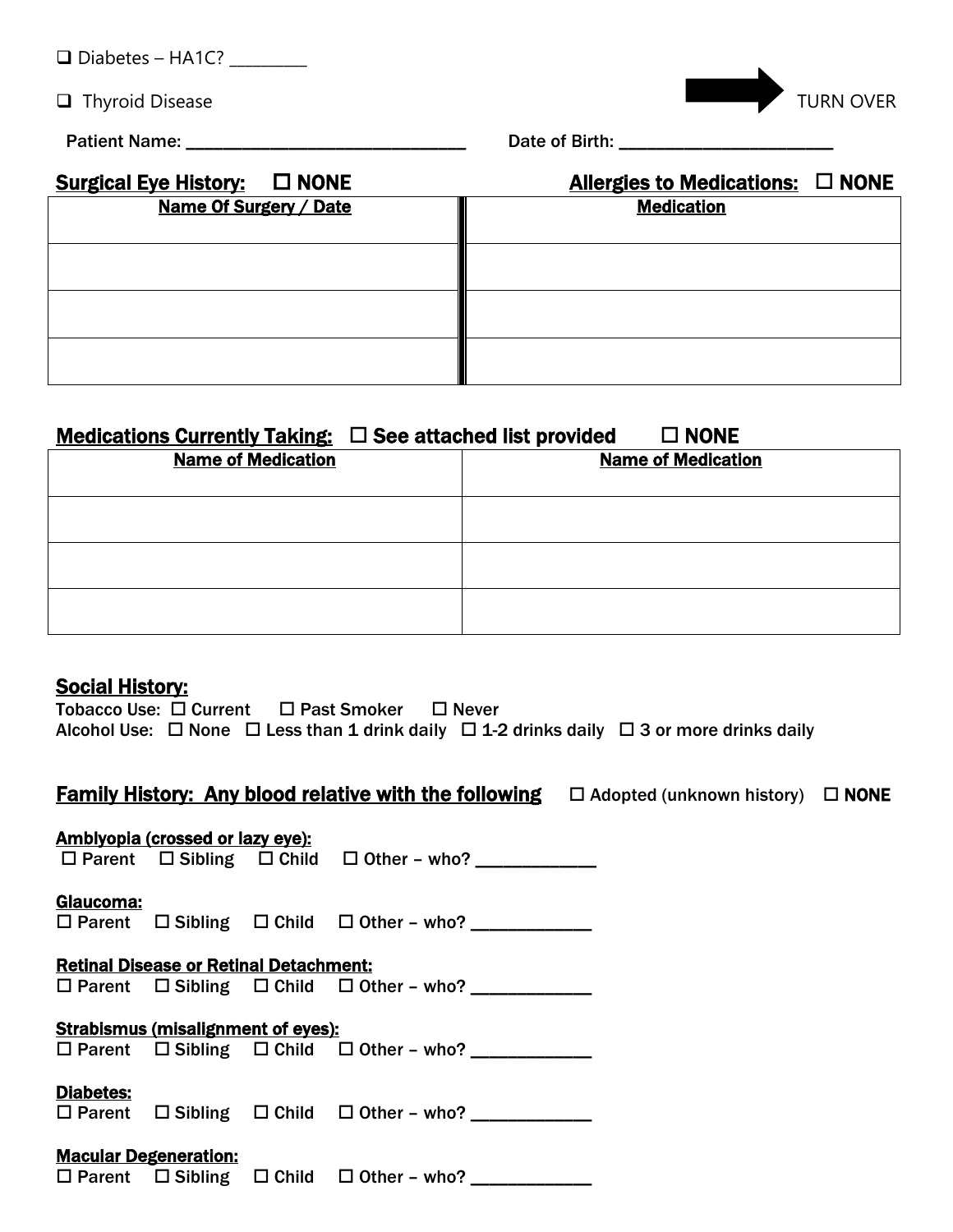| $\Box$ Diabetes - HA1C? |  |
|-------------------------|--|
|-------------------------|--|

 $\Box$  Thyroid Disease TURN OVER

Patient Name: \_\_\_\_\_\_\_\_\_\_\_\_\_\_\_\_\_\_\_\_\_\_\_\_\_\_\_\_\_\_ Date of Birth: \_\_\_\_\_\_\_\_\_\_\_\_\_\_\_\_\_\_\_\_\_\_\_

| Surgical Eye History: □ NONE | Allergies to Medications: $\Box$ NONE |
|------------------------------|---------------------------------------|
| Name Of Surgery / Date       | <b>Medication</b>                     |
|                              |                                       |
|                              |                                       |
|                              |                                       |
|                              |                                       |
|                              |                                       |
|                              |                                       |
|                              |                                       |

# Medications Currently Taking:  $\Box$  See attached list provided  $\Box$  NONE

| <b>Name of Medication</b> | <b>Name of Medication</b> |
|---------------------------|---------------------------|
|                           |                           |
|                           |                           |
|                           |                           |

### **Social History:**

|  | Tobacco Use: □ Current □ Past Smoker □ Never |  |                                                                                                               |
|--|----------------------------------------------|--|---------------------------------------------------------------------------------------------------------------|
|  |                                              |  | Alcohol Use: $\Box$ None $\Box$ Less than 1 drink daily $\Box$ 1-2 drinks daily $\Box$ 3 or more drinks daily |

# Family History: Any blood relative with the following  $\square$  Adopted (unknown history)  $\square$  NONE

|           | <b>Amblyopia (crossed or lazy eye):</b>       |                                                               |  |
|-----------|-----------------------------------------------|---------------------------------------------------------------|--|
|           |                                               | $\Box$ Parent $\Box$ Sibling $\Box$ Child $\Box$ Other - who? |  |
|           |                                               |                                                               |  |
| Glaucoma: |                                               |                                                               |  |
|           |                                               | $\Box$ Parent $\Box$ Sibling $\Box$ Child $\Box$ Other - who? |  |
|           |                                               |                                                               |  |
|           | <b>Retinal Disease or Retinal Detachment:</b> |                                                               |  |
|           |                                               | $\Box$ Parent $\Box$ Sibling $\Box$ Child $\Box$ Other - who? |  |
|           |                                               |                                                               |  |
|           |                                               |                                                               |  |
|           | <b>Strabismus (misalignment of eyes):</b>     |                                                               |  |
|           |                                               | $\Box$ Parent $\Box$ Sibling $\Box$ Child $\Box$ Other - who? |  |
|           |                                               |                                                               |  |
| Diabetes: |                                               |                                                               |  |
|           |                                               | □ Parent □ Sibling □ Child □ Other - who? ___________         |  |
|           |                                               |                                                               |  |
|           | <b>Macular Degeneration:</b>                  |                                                               |  |
|           |                                               | $\Box$ Parent $\Box$ Sibling $\Box$ Child $\Box$ Other - who? |  |